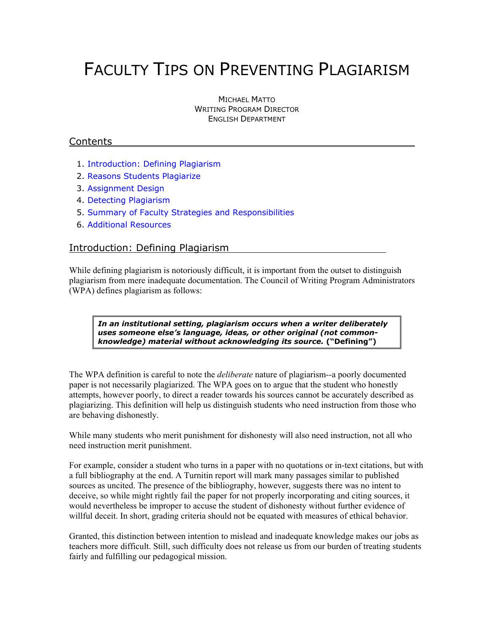# FACULTY TIPS ON PREVENTING PLAGIARISM

MICHAEL MATTO WRITING PROGRAM DIRECTOR ENGLISH DEPARTMENT

## Contents

- 1. Introduction: Defining Plagiarism
- [2. Reasons Students Plagiarize](#page-1-0)
- [3. Assignment Design](#page-2-0)
- [4. Detecting Plagiarism](#page-4-0)
- [5. Summary of Faculty Strategies and Responsibilities](#page-5-0)
- [6. Additional Resources](#page-6-0)

## Introduction: Defining Plagiarism

While defining plagiarism is notoriously difficult, it is important from the outset to distinguish plagiarism from mere inadequate documentation. The Council of Writing Program Administrators (WPA) defines plagiarism as follows:

*In an institutional setting, plagiarism occurs when a writer deliberately uses someone else's language, ideas, or other original (not commonknowledge) material without acknowledging its source.* **("Defining")** 

The WPA definition is careful to note the *deliberate* nature of plagiarism--a poorly documented paper is not necessarily plagiarized. The WPA goes on to argue that the student who honestly attempts, however poorly, to direct a reader towards his sources cannot be accurately described as plagiarizing. This definition will help us distinguish students who need instruction from those who are behaving dishonestly.

While many students who merit punishment for dishonesty will also need instruction, not all who need instruction merit punishment.

For example, consider a student who turns in a paper with no quotations or in-text citations, but with a full bibliography at the end. A Turnitin report will mark many passages similar to published sources as uncited. The presence of the bibliography, however, suggests there was no intent to deceive, so while might rightly fail the paper for not properly incorporating and citing sources, it would nevertheless be improper to accuse the student of dishonesty without further evidence of willful deceit. In short, grading criteria should not be equated with measures of ethical behavior.

Granted, this distinction between intention to mislead and inadequate knowledge makes our jobs as teachers more difficult. Still, such difficulty does not release us from our burden of treating students fairly and fulfilling our pedagogical mission.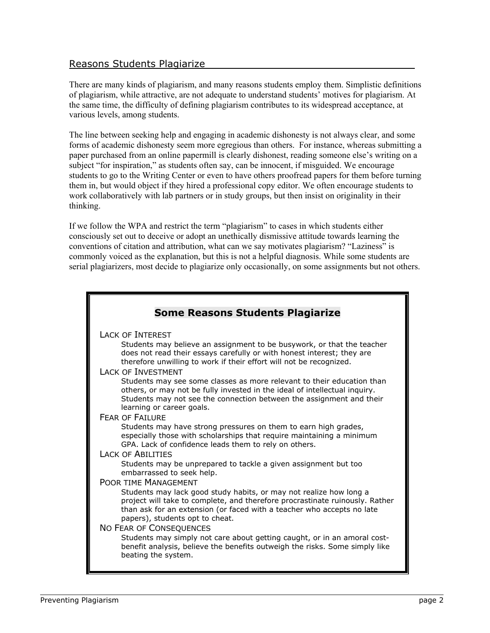## <span id="page-1-0"></span>Reasons Students Plagiarize

There are many kinds of plagiarism, and many reasons students employ them. Simplistic definitions of plagiarism, while attractive, are not adequate to understand students' motives for plagiarism. At the same time, the difficulty of defining plagiarism contributes to its widespread acceptance, at various levels, among students.

The line between seeking help and engaging in academic dishonesty is not always clear, and some forms of academic dishonesty seem more egregious than others. For instance, whereas submitting a paper purchased from an online papermill is clearly dishonest, reading someone else's writing on a subject "for inspiration," as students often say, can be innocent, if misguided. We encourage students to go to the Writing Center or even to have others proofread papers for them before turning them in, but would object if they hired a professional copy editor. We often encourage students to work collaboratively with lab partners or in study groups, but then insist on originality in their thinking.

If we follow the WPA and restrict the term "plagiarism" to cases in which students either consciously set out to deceive or adopt an unethically dismissive attitude towards learning the conventions of citation and attribution, what can we say motivates plagiarism? "Laziness" is commonly voiced as the explanation, but this is not a helpful diagnosis. While some students are serial plagiarizers, most decide to plagiarize only occasionally, on some assignments but not others.

| <b>Some Reasons Students Plagiarize</b>                                                                                                                                                                                                                         |
|-----------------------------------------------------------------------------------------------------------------------------------------------------------------------------------------------------------------------------------------------------------------|
| <b>LACK OF INTEREST</b>                                                                                                                                                                                                                                         |
| Students may believe an assignment to be busywork, or that the teacher<br>does not read their essays carefully or with honest interest; they are<br>therefore unwilling to work if their effort will not be recognized.                                         |
| <b>LACK OF INVESTMENT</b>                                                                                                                                                                                                                                       |
| Students may see some classes as more relevant to their education than<br>others, or may not be fully invested in the ideal of intellectual inquiry.<br>Students may not see the connection between the assignment and their<br>learning or career goals.       |
| <b>FEAR OF FAILURE</b>                                                                                                                                                                                                                                          |
| Students may have strong pressures on them to earn high grades,<br>especially those with scholarships that require maintaining a minimum<br>GPA. Lack of confidence leads them to rely on others.                                                               |
| <b>LACK OF ABILITIES</b>                                                                                                                                                                                                                                        |
| Students may be unprepared to tackle a given assignment but too<br>embarrassed to seek help.                                                                                                                                                                    |
| <b>POOR TIME MANAGEMENT</b>                                                                                                                                                                                                                                     |
| Students may lack good study habits, or may not realize how long a<br>project will take to complete, and therefore procrastinate ruinously. Rather<br>than ask for an extension (or faced with a teacher who accepts no late<br>papers), students opt to cheat. |
| <b>NO FEAR OF CONSEQUENCES</b>                                                                                                                                                                                                                                  |
| Students may simply not care about getting caught, or in an amoral cost-<br>benefit analysis, believe the benefits outweigh the risks. Some simply like<br>beating the system.                                                                                  |
|                                                                                                                                                                                                                                                                 |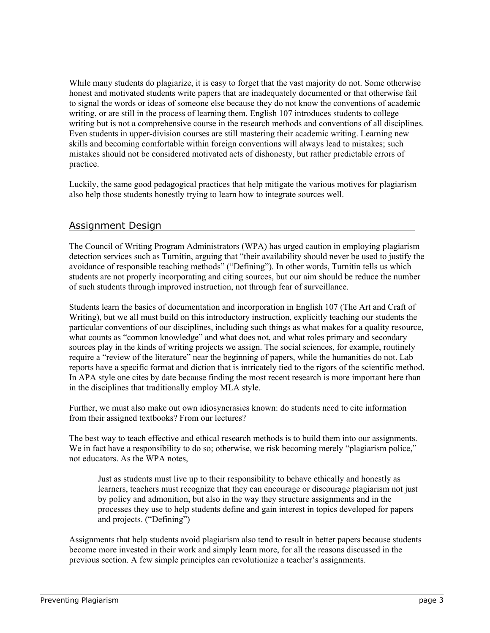<span id="page-2-0"></span>While many students do plagiarize, it is easy to forget that the vast majority do not. Some otherwise honest and motivated students write papers that are inadequately documented or that otherwise fail to signal the words or ideas of someone else because they do not know the conventions of academic writing, or are still in the process of learning them. English 107 introduces students to college writing but is not a comprehensive course in the research methods and conventions of all disciplines. Even students in upper-division courses are still mastering their academic writing. Learning new skills and becoming comfortable within foreign conventions will always lead to mistakes; such mistakes should not be considered motivated acts of dishonesty, but rather predictable errors of practice.

Luckily, the same good pedagogical practices that help mitigate the various motives for plagiarism also help those students honestly trying to learn how to integrate sources well.

## Assignment Design

The Council of Writing Program Administrators (WPA) has urged caution in employing plagiarism detection services such as Turnitin, arguing that "their availability should never be used to justify the avoidance of responsible teaching methods" ("Defining"). In other words, Turnitin tells us which students are not properly incorporating and citing sources, but our aim should be reduce the number of such students through improved instruction, not through fear of surveillance.

Students learn the basics of documentation and incorporation in English 107 (The Art and Craft of Writing), but we all must build on this introductory instruction, explicitly teaching our students the particular conventions of our disciplines, including such things as what makes for a quality resource, what counts as "common knowledge" and what does not, and what roles primary and secondary sources play in the kinds of writing projects we assign. The social sciences, for example, routinely require a "review of the literature" near the beginning of papers, while the humanities do not. Lab reports have a specific format and diction that is intricately tied to the rigors of the scientific method. In APA style one cites by date because finding the most recent research is more important here than in the disciplines that traditionally employ MLA style.

Further, we must also make out own idiosyncrasies known: do students need to cite information from their assigned textbooks? From our lectures?

The best way to teach effective and ethical research methods is to build them into our assignments. We in fact have a responsibility to do so; otherwise, we risk becoming merely "plagiarism police," not educators. As the WPA notes,

Just as students must live up to their responsibility to behave ethically and honestly as learners, teachers must recognize that they can encourage or discourage plagiarism not just by policy and admonition, but also in the way they structure assignments and in the processes they use to help students define and gain interest in topics developed for papers and projects. ("Defining")

Assignments that help students avoid plagiarism also tend to result in better papers because students become more invested in their work and simply learn more, for all the reasons discussed in the previous section. A few simple principles can revolutionize a teacher's assignments.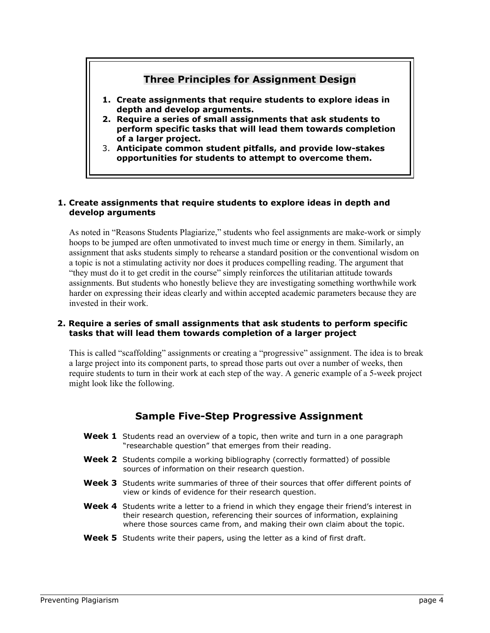# **Three Principles for Assignment Design**

- **1. Create assignments that require students to explore ideas in depth and develop arguments.**
- **2. Require a series of small assignments that ask students to perform specific tasks that will lead them towards completion of a larger project.**
- 3. **Anticipate common student pitfalls, and provide low-stakes opportunities for students to attempt to overcome them.**

#### **1. Create assignments that require students to explore ideas in depth and develop arguments**

As noted in "Reasons Students Plagiarize," students who feel assignments are make-work or simply hoops to be jumped are often unmotivated to invest much time or energy in them. Similarly, an assignment that asks students simply to rehearse a standard position or the conventional wisdom on a topic is not a stimulating activity nor does it produces compelling reading. The argument that "they must do it to get credit in the course" simply reinforces the utilitarian attitude towards assignments. But students who honestly believe they are investigating something worthwhile work harder on expressing their ideas clearly and within accepted academic parameters because they are invested in their work.

#### **2. Require a series of small assignments that ask students to perform specific tasks that will lead them towards completion of a larger project**

This is called "scaffolding" assignments or creating a "progressive" assignment. The idea is to break a large project into its component parts, to spread those parts out over a number of weeks, then require students to turn in their work at each step of the way. A generic example of a 5-week project might look like the following.

## **Sample Five-Step Progressive Assignment**

- **Week 1** Students read an overview of a topic, then write and turn in a one paragraph "researchable question" that emerges from their reading.
- **Week 2** Students compile a working bibliography (correctly formatted) of possible sources of information on their research question.
- **Week 3** Students write summaries of three of their sources that offer different points of view or kinds of evidence for their research question.
- **Week 4** Students write a letter to a friend in which they engage their friend's interest in their research question, referencing their sources of information, explaining where those sources came from, and making their own claim about the topic.
- **Week 5** Students write their papers, using the letter as a kind of first draft.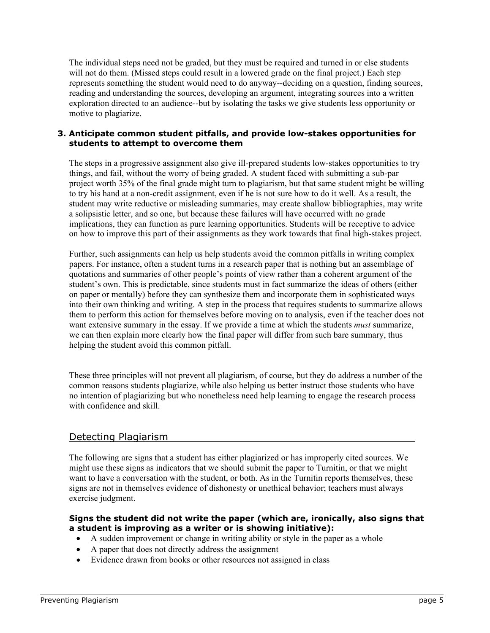<span id="page-4-0"></span>The individual steps need not be graded, but they must be required and turned in or else students will not do them. (Missed steps could result in a lowered grade on the final project.) Each step represents something the student would need to do anyway--deciding on a question, finding sources, reading and understanding the sources, developing an argument, integrating sources into a written exploration directed to an audience--but by isolating the tasks we give students less opportunity or motive to plagiarize.

#### **3. Anticipate common student pitfalls, and provide low-stakes opportunities for students to attempt to overcome them**

The steps in a progressive assignment also give ill-prepared students low-stakes opportunities to try things, and fail, without the worry of being graded. A student faced with submitting a sub-par project worth 35% of the final grade might turn to plagiarism, but that same student might be willing to try his hand at a non-credit assignment, even if he is not sure how to do it well. As a result, the student may write reductive or misleading summaries, may create shallow bibliographies, may write a solipsistic letter, and so one, but because these failures will have occurred with no grade implications, they can function as pure learning opportunities. Students will be receptive to advice on how to improve this part of their assignments as they work towards that final high-stakes project.

Further, such assignments can help us help students avoid the common pitfalls in writing complex papers. For instance, often a student turns in a research paper that is nothing but an assemblage of quotations and summaries of other people's points of view rather than a coherent argument of the student's own. This is predictable, since students must in fact summarize the ideas of others (either on paper or mentally) before they can synthesize them and incorporate them in sophisticated ways into their own thinking and writing. A step in the process that requires students to summarize allows them to perform this action for themselves before moving on to analysis, even if the teacher does not want extensive summary in the essay. If we provide a time at which the students *must* summarize, we can then explain more clearly how the final paper will differ from such bare summary, thus helping the student avoid this common pitfall.

These three principles will not prevent all plagiarism, of course, but they do address a number of the common reasons students plagiarize, while also helping us better instruct those students who have no intention of plagiarizing but who nonetheless need help learning to engage the research process with confidence and skill.

## Detecting Plagiarism

The following are signs that a student has either plagiarized or has improperly cited sources. We might use these signs as indicators that we should submit the paper to Turnitin, or that we might want to have a conversation with the student, or both. As in the Turnitin reports themselves, these signs are not in themselves evidence of dishonesty or unethical behavior; teachers must always exercise judgment.

#### **Signs the student did not write the paper (which are, ironically, also signs that a student is improving as a writer or is showing initiative):**

- A sudden improvement or change in writing ability or style in the paper as a whole
- A paper that does not directly address the assignment
- Evidence drawn from books or other resources not assigned in class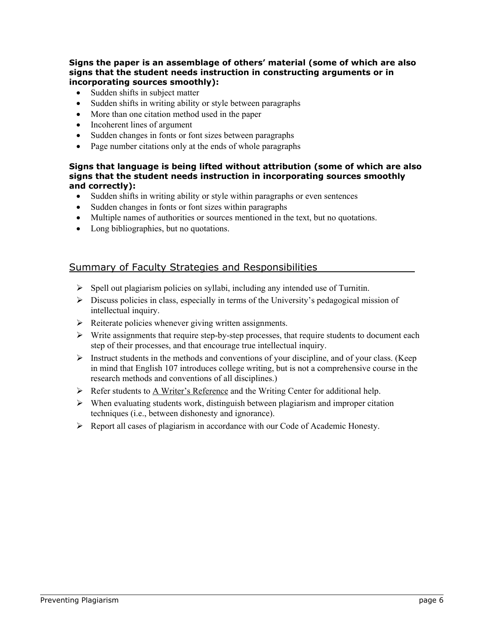## <span id="page-5-0"></span>**Signs the paper is an assemblage of others' material (some of which are also signs that the student needs instruction in constructing arguments or in incorporating sources smoothly):**

- Sudden shifts in subject matter
- Sudden shifts in writing ability or style between paragraphs
- More than one citation method used in the paper
- Incoherent lines of argument
- Sudden changes in fonts or font sizes between paragraphs
- Page number citations only at the ends of whole paragraphs

## **Signs that language is being lifted without attribution (some of which are also signs that the student needs instruction in incorporating sources smoothly and correctly):**

- Sudden shifts in writing ability or style within paragraphs or even sentences
- Sudden changes in fonts or font sizes within paragraphs
- Multiple names of authorities or sources mentioned in the text, but no quotations.
- Long bibliographies, but no quotations.

# Summary of Faculty Strategies and Responsibilities

- $\triangleright$  Spell out plagiarism policies on syllabi, including any intended use of Turnitin.
- $\triangleright$  Discuss policies in class, especially in terms of the University's pedagogical mission of intellectual inquiry.
- $\triangleright$  Reiterate policies whenever giving written assignments.
- $\triangleright$  Write assignments that require step-by-step processes, that require students to document each step of their processes, and that encourage true intellectual inquiry.
- $\triangleright$  Instruct students in the methods and conventions of your discipline, and of your class. (Keep in mind that English 107 introduces college writing, but is not a comprehensive course in the research methods and conventions of all disciplines.)
- $\triangleright$  Refer students to A Writer's Reference and the Writing Center for additional help.
- $\triangleright$  When evaluating students work, distinguish between plagiarism and improper citation techniques (i.e., between dishonesty and ignorance).
- $\triangleright$  Report all cases of plagiarism in accordance with our Code of Academic Honesty.